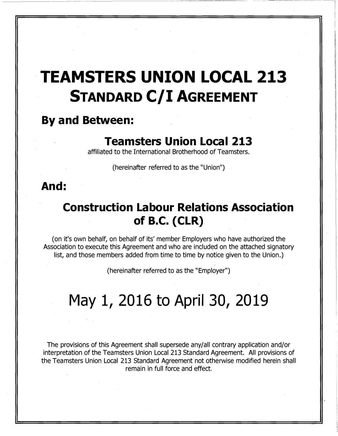# TEAMSTERS UNION LOCAL 213 STANDARD C/I AGREEMENT

## By and Between:

# Teamsters Union Local <sup>213</sup>

affiliated to the International Brotherhood of Teamsters.

(hereinafter referred to as the "Union")

## And:

# Construction Labour Relations Association of B.C. (CLR)

(on it's own behalf, on behalf of its' member Employers who have authorized the Association to execute this Agreement and who are included on the attached signatory list, and those members added from time to time by notice given to the Union.)

(hereinafter referred to as the "Employer")

# May 1, 2016 to April 30, 2019

The provisions of this Agreement shall supersede any/all contrary application and/or interpretation of the Teamsters Union Local 213 Standard Agreement. All provisions of the Teamsters Union Local 213 Standard Agreement not otherwise modified herein shall remain in full force and effect.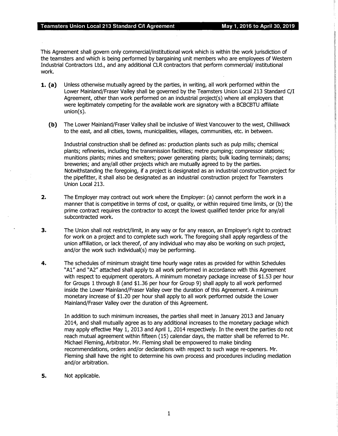This Agreement shall govern only commercial/institutional work which is within the work jurisdiction of the teamsters and which is being performed by bargaining unit members who are employees of Western Industrial Contractors Ltd., and any additional CLR contractors that perform commercial/ institutional work.

- **1. (a)** Unless otherwise mutually agreed by the parties, in writing, all work performed within the Lower Mainland/Fraser Valley shall be governed by the Teamsters Union Local 213 Standard C/I Agreement, other than work performed on an industrial project(s) where all employers that were legitimately competing for the available work are signatory with a BCBCBTU affiliate union(s).
	- (b) The Lower Mainland/Fraser Valley shall be inclusive of West Vancouver to the west, Chilliwack to the east, and all cities, towns, municipalities, villages, communities, etc. in between.

Industrial construction shall be defined as: production plants such as pulp mills; chemical plants; refineries, including the transmission facilities; metre pumping; compressor stations; munitions plants; mines and smelters; power generating plants; bulk loading terminals; dams; breweries; and any/all other projects which are mutually agreed to by the parties. Notwithstanding the foregoing, if a project is designated as an industrial construction project for the pipefitter, it shall also be designated as an industrial construction project for Teamsters Union Local 213.

- 2. The Employer may contract out work where the Employer: (a) cannot perform the work in a manner that is competitive in terms of cost, or quality, or within required time limits, or (b) the prime contract requires the contractor to accept the lowest qualified tender price for any/all subcontracted work.
- 3. The Union shall not restrict/limit, in any way or for any reason, an Employer's right to contract for work on a project and to complete such work. The foregoing shall apply regardless of the union affiliation, or lack thereof, of any individual who may also be working on such project, and/or the work such individual(s) may be performing.
- 4. The schedules of minimum straight time hourly wage rates as provided for within Schedules "Al" and "A2" attached shall apply to all work performed in accordance with this Agreement with respect to equipment operators. A minimum monetary package increase of \$1.53 per hour for Groups 1 through 8 (and \$1.36 per hour for Group 9) shall apply to all work performed inside the Lower Mainland/Fraser Valley over the duration of this Agreement. A minimum monetary increase of \$1.20 per hour shall apply to all work performed outside the Lower Mainland/Fraser Valley over the duration of this Agreement.

In addition to such minimum increases, the parties shall meet in January 2013 and January 2014, and shall mutually agree as to any additional increases to the monetary package which may apply effective May 1, 2013 and April 1, 2014 respectively. In the event the parties do not reach mutual agreement within fifteen (15) calendar days, the matter shall be referred to Mr. Michael Fleming, Arbitrator. Mr. Fleming shall be empowered to make binding recommendations, orders and/or declarations with respect to such wage re-openers. Mr. Fleming shall have the right to determine his own process and procedures including mediation and/or arbitration.

**5.** Not applicable.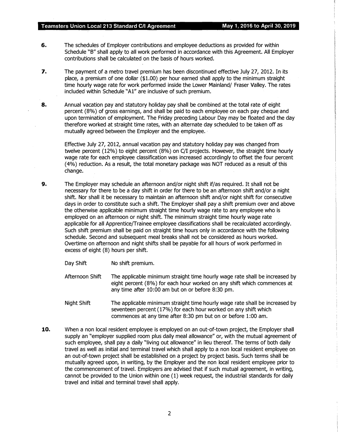- **6.** The schedules of Employer contributions and employee deductions as provided for within Schedule "B" shall apply to all work performed in accordance with this Agreement. All Employer contributions shall be calculated on the basis of hours worked.
- 7. The payment of a metro travel premium has been discontinued effective July 27, 2012. In its place, a premium of one dollar (\$1.00) per hour earned shall apply to the minimum straight time hourly wage rate for work performed inside the Lower Mainland/ Fraser Valley. The rates included within Schedule "Al" are inclusive of such premium.
- 8. Annual vacation pay and statutory holiday pay shall be combined at the total rate of eight percent (8%) of gross earnings, and shall be paid to each employee on each pay cheque and upon termination of employment. The Friday preceding Labour Day may be floated and the day therefore worked at straight time rates, with an alternate day scheduled to be taken off as mutually agreed between the Employer and the employee.·

Effective July 27, 2012, annual vacation pay and statutory holiday pay was changed from twelve percent (12%) to eight percent (8%) on C/I projects. However, the straight time hourly wage rate for each employee classification was increased accordingly to offset the four percent (4%) reduction. As a result, the total monetary package was NOT reduced as a result of this change.

- 9. The Employer may schedule an afternoon and/or night shift if/as required. It shall not be necessary for there to be a day shift in order for there to be an afternoon shift and/or a night shift. Nor shall it be necessary to maintain an afternoon shift and/or night shift for consecutive days in order to constitute such a shift. The Employer shall pay a shift premium over and above the otherwise applicable minimum straight time hourly wage rate to any employee who is employed on an afternoon or night shift. The minimum straight time hourly wage rate applicable for all Apprentice/Trainee employee classifications shall be recalculated accordingly. Such shift premium shall be paid on straight time hours only in accordance with the following schedule. Second and subsequent meal breaks shall not be considered as hours worked. Overtime on afternoon and night shifts shall be payable for all hours of work performed in excess of eight (8) hours per shift.
	- Day Shift No shift premium.
	- Afternoon Shift The applicable minimum straight time hourly wage rate shall be increased by eight percent (8%) for each hour worked on any shift which commences at any time after 10:00 am but on or before 8:30 pm.
	- Night Shift The applicable minimum straight time hourly wage rate shall be increased by seventeen percent (17%) for each hour worked on any shift which commences at any time after 8:30 pm but on or before 1:00 am.
- **10.** When a non local resident employee is employed on an out-of-town project, the Employer shall supply an "employer supplied room plus daily meal allowance" or, with the mutual agreement of such employee, shall pay a daily "living out allowance" in lieu thereof. The terms of both daily travel as well as initial and terminal travel which shall apply to a non local resident employee on an out-of-town project shall be established on a project by project basis. Such terms shall be mutually agreed upon, in writing, by the Employer and the non local resident employee prior to the commencement of travel. Employers are advised that if such mutual agreement, in writing, cannot be provided to the Union within one (1) week request, the industrial standards for daily travel and initial and terminal travel shall apply.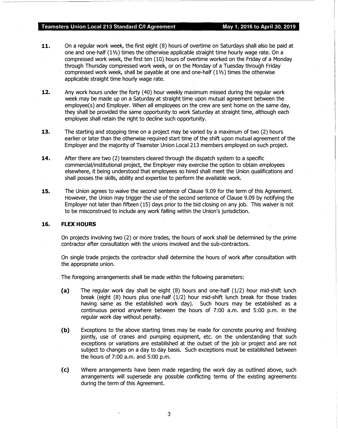- 11. On a regular work week, the first eight (8) hours of overtime on Saturdays shall also be paid at one and one-half (11/2) times the otherwise applicable straight time hourly wage rate. On a compressed work week, the first ten (10) hours of overtime worked on the Friday of a Monday through Thursday compressed work week, or on the Monday of a Tuesday through Friday compressed work week, shall be payable at one and one-half  $(1/2)$  times the otherwise applicable straight time hourly wage rate.
- 12. Any work hours under the forty (40) hour weekly maximum missed during the regular work week may be made up on a Saturday at straight time upon mutual agreement between the employee(s) and Employer. When all employees on the crew are sent home on the same day, they shall be provided the same opportunity to work Saturday at straight time, although each employee shall retain the right to decline such opportunity.
- 13. The starting and stopping time on a project may be varied by a maximum of two (2) hours earlier or later than the otherwise required start time of the shift upon mutual agreement of the Employer and the majority of Teamster Union Local 213 members employed on such project.
- 14. After there are two (2) teamsters cleared through the dispatch system to a specific commercial/institutional project, the Employer may exercise the option to obtain employees elsewhere, it being understood that employees so hired shall meet the Union qualifications and shall posses the skills, ability and expertise to perform the available work.
- 15. The Union agrees to waive the second sentence of Clause 9.09 for the term of this Agreement. However, the Union may trigger the use of the second sentence of Clause 9.09 by notifying the Employer not later than fifteen (15) days prior to the bid closing on any job. This waiver is not to be misconstrued to include any work falling within the Union's jurisdiction.

#### 16. FLEX HOURS

On projects involving two (2) or more trades, the hours of work shall be determined by the prime contractor after consultation with the unions involved and the sub-contractors.

On single trade projects the contractor shall determine the hours of work after consultation with the appropriate union.

The foregoing arrangements shall be made within the following parameters:

- (a) The regular work day shall be eight (8) hours and one-half (1/2) hour mid-shift lunch break (eight (8) hours plus one-half (1/2) hour mid-shift lunch break for those trades having same as the established work day). Such hours may be established as a continuous period anywhere between the hours of 7:00 a.m. and 5:00 p.m. in the regular work day without penalty.
- (b) Exceptions to the above starting times may be made for concrete pouring and finishing jointly, use of cranes and pumping equipment, etc. on the understanding that such exceptions or variations are established at the outset of the job or project and are not subject to changes on a day to day basis. Such exceptions must be established between the hours of 7:00 a.m. and 5:00 p.m.
- (c) Where arrangements have been made regarding the work day as outlined above, such arrangements will supersede any possible conflicting terms of the existing agreements during the term of this Agreement.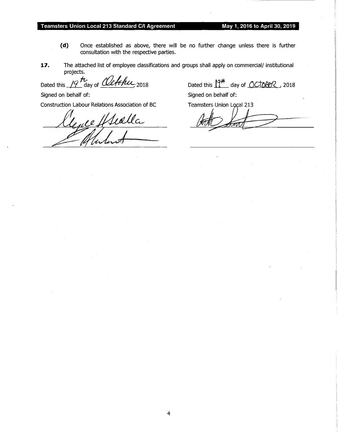- (d) Once established as above, there will be no further change unless there is further consultation with the respective parties.
- 17. The attached list of employee classifications and groups shall apply on commercial/ institutional projects.

Dated this  $19$  th,  $\omega_{\text{day of}}$ 

Signed on behalf of: Signed on behalf of:

Construction Labour Relations Association of BC Teamsters Union Local 213<br>Clearly Huddle Motor Teams And The Second

Dated this  $12^{44}$  day of  $OCDB2$ , 2018

4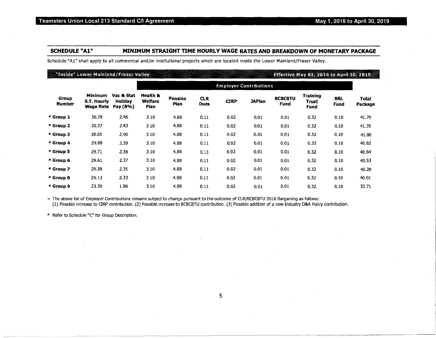#### SCHEDULE "A1" MINIMUM STRAIGHT TIME HOURLY WAGE RATES AND BREAKDOWN OF MONETARY PACKAGE

Scheduie "Ai" shall apply to all commercial and/or institutional projects which are located inside the Lower Mainland/Fraser Valley.

#### "Inside" Lower Mainland/Fraser Valley

#### **Effective May 01, 2016 to April 30, 2019**

|                        |                                            |                                          |                                    |                 |                    |                   | <b>Employer Contributions</b> |                        |                                         |                    |                         |
|------------------------|--------------------------------------------|------------------------------------------|------------------------------------|-----------------|--------------------|-------------------|-------------------------------|------------------------|-----------------------------------------|--------------------|-------------------------|
| Group<br><b>Number</b> | <b>Minimum</b><br>S.T. Hourly<br>Wage Rate | Vac & Stat<br><b>Holiday</b><br>Pay (8%) | Health &<br><b>Welfare</b><br>Plan | Pension<br>Plan | <b>CLR</b><br>Dues | <b>CIRP</b>       | <b>JAPlan</b>                 | <b>BCBCBTU</b><br>Fund | <b>Training</b><br>Trust<br><b>Fund</b> | <b>BRL</b><br>Fund | <b>Total</b><br>Package |
| * Group 1              | 30.78                                      | 2.46                                     | 3.10                               | 4.88            | 0.11               | 0.02              | 0.01                          | 0.01                   | 0.32                                    | 0.10               | 41.79                   |
| * Group 2              | 30.37                                      | 2.43                                     | 3.10                               | 4.88            | 0.11               | 0.02              | 0.01                          | 0.01                   | 0.32                                    | 0.10               | 41.35                   |
| * Group 3              | 30.05                                      | 2.40                                     | 3.10                               | 4.88            | 0.11               | 0.02              | 0.01                          | 0.01                   | 0.32                                    | 0.10               | 41.00                   |
| * Group 4              | 29.88                                      | 2.39                                     | 3.10                               | 4.88            | 0.11               | $0.02^{\circ}$    | 0.01                          | 0.01                   | 0.32                                    | 0.10               | 40.82                   |
| * Group 5              | 29.71                                      | 2.38                                     | 3.10                               | 4.88            | 0.11               | 0.02              | 0.01                          | 0.01                   | 0.32                                    | 0.10               | 40.64                   |
| * Group 6              | 29.61                                      | 2.37                                     | 3.10                               | 4,88            | 0.11               | 0.02              | 0.01                          | 0.01                   | 0.32                                    | 0.10               | 40.53                   |
| * Group 7              | 29.38                                      | 2.35 <sub>1</sub>                        | 3.10                               | 4.88            | 0.11               | 0.02              | 0.01                          | 0.01                   | 0.32 <sub>1</sub>                       | 0.10               | 40.28                   |
| *Group 8               | 29.13                                      | 2.33                                     | 3.10                               | 4.88            | 0.11               | 0.02              | 0.01                          | 0.01                   | 0.32                                    | 0.10               | 40.01                   |
| * Group 9              | 23.30                                      | 1.86                                     | 3.10                               | 4.88            | 0.11               | 0.02 <sub>1</sub> | 0.01                          | 0.01                   | 0,32                                    | 0.10               | 33.71                   |

<sup>&</sup>gt;The above list of Employer Contributions remains subject to change pursuant to the outcome of CLR/BCBCBTU 2016 Bargaining as follows:

(1) Possible increase to ORP contribution . (2) Possible increase to BCBCBTL! contribution. (3) Possible addition of a new Industry D&A Policy contribution.

\* Refer to Schedule "C" for Group Description.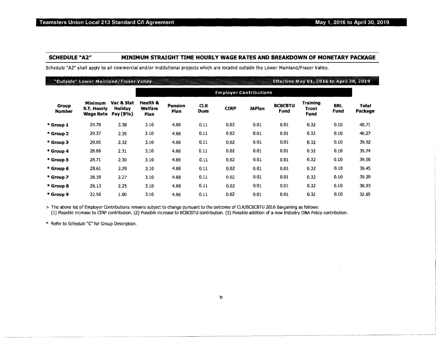### SCHEDULE "A2"' MINIMUM STRAIGHT TIME HOURLY WAGE RATES AND BREAKDOWN OF MONETARY PACKAGE

Schedule "A2" shall apply to all commercial and/or institutional projects which are located outside the Lower Mainland/Fraser Valley.

#### "Outside" Lower Mainland/Fraser Valley

#### Effective May 01, 2016 to April 30, 2019

|                        |                                                   |                                   |                             |                 |                     | <b>Employer Contributions</b> |               |                               |                                  |                    |                  |
|------------------------|---------------------------------------------------|-----------------------------------|-----------------------------|-----------------|---------------------|-------------------------------|---------------|-------------------------------|----------------------------------|--------------------|------------------|
| Group<br><b>Number</b> | <b>Minimum</b><br>S.T. Hourly<br><b>Wage Rate</b> | Vac & Stat<br>Holiday<br>Pay (8%) | Health &<br>Welfare<br>Plan | Pension<br>Plan | CLR.<br><b>Dues</b> | <b>CIRP</b>                   | <b>JAPlan</b> | <b>BCBCBTU</b><br><b>Fund</b> | <b>Training</b><br>Trust<br>Fund | <b>BRL</b><br>Fund | Total<br>Package |
| * Group 1              | 29.78                                             | 2.38                              | 3.10                        | 4.88            | 0.11                | 0.02                          | 0.01          | 0,01                          | 0.32.                            | 0.10               | 40.71            |
| * Group 2              | 29.37                                             | 2.35 <sup>2</sup>                 | 3.10                        | 4.88            | 0.11                | 0.02                          | 0.01          | 0.01                          | 0.32                             | 0.10               | 40.27            |
| * Group 3              | 29.05                                             | 2.32                              | 3.10                        | 4.88            | 0.11                | 0.02                          | 0.01          | 0.01                          | 0.32                             | 0.10               | 39.92            |
| * Group 4              | 28.88                                             | 2.31                              | 3.10                        | 4.88            | 0.11                | 0.02                          | 0.01          | 0.01                          | 0.32                             | 0.10               | 39.74            |
| * Group 5              | 28.71                                             | 2.30                              | 3.10                        | 4.88            | 0.11                | 0.02                          | 0.01          | 0.01                          | 0.32                             | 0.10.              | 39.56            |
| * Group 6              | 28.61                                             | 2.29                              | 3.10                        | 4.88            | 0.11                | 0.02                          | 0.01          | 0.01                          | 0.32                             | 0.10               | 39.45            |
| * Group 7              | 28.38                                             | 2.27                              | 3.10                        | 4.88            | 0.11                | 0.02                          | 0.01          | 0.01                          | 0.32                             | 0.10               | 39.20            |
| * Group 8              | 28.13                                             | 2.25                              | 3.10.                       | 4.88            | 0.11                | 0.02                          | 0.01          | 0.01                          | 0.32                             | 0.10               | 38.93            |
| * Group 9              | 22.50                                             | 1.80                              | 3.10                        | 4.88            | 0.11                | 0.02                          | 0,01          | 0.01                          | 0.32                             | 0.10               | 32,85            |

> The above list of Employer Contributions remains subject to change pursuant to the outcome of CLR/BCBCBTU 2016 Bargaining as follows:

(1) Possible increase to CTRP contribution. (2) Possible increase to BCBCBTU contribution. (3) Possible addition of a new Industry D&A. Policy contribution.

\* Refer to Schedule "C" for Group Description.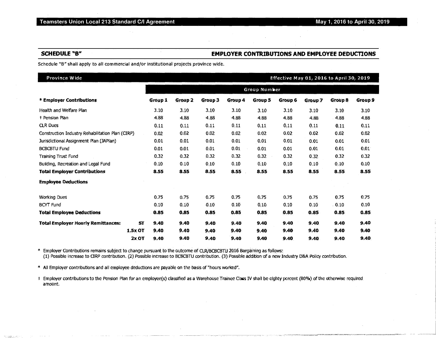,-,·-,.-C"·�r,--,--,;'�·· �""""'��..,��""°"-"''"'�"�"�'""'' ",\_,,,..,.,,...,,, .. ·- ---

#### SCHEDULE "B" EMPLOYER CONTRIBUTIONS AND EMPLOYEE DEDUCTIONS

Schedule "B" shall apply to all commercial and/or institutional projects province wide.

| Province Wide                                    |                   |              |           |         |         |                |         | Effective May 01, 2016 to April 30, 2019 |         |  |  |
|--------------------------------------------------|-------------------|--------------|-----------|---------|---------|----------------|---------|------------------------------------------|---------|--|--|
|                                                  |                   | Group Number |           |         |         |                |         |                                          |         |  |  |
| * Employer Contributions                         | <b>Group 1</b>    | Group 2      | Group $3$ | Group 4 | Group 5 | <b>Group 6</b> | Group 7 | Group 8                                  | Group 9 |  |  |
| Health and Welfare Plan                          | 3.10              | 3.10         | 3,10      | 3.10    | 3.10    | 3,10           | 3.10    | 3.10                                     | 3.10    |  |  |
| + Pension Plan                                   | 4.88              | 4.88         | 4.88      | 4.88    | 4.88    | 4.88           | 4.88    | 4.88                                     | 4.88    |  |  |
| <b>CLR Dues</b>                                  | 0.11              | 0.11         | 0.11      | 0.11    | 0,11    | 0.11           | 0.11    | 0.11                                     | 0.11    |  |  |
| Construction Industry Rehabilitation Plan (CIRP) | 0.02              | 0.02         | 0.02      | 0.02    | 0.02    | 0.02           | 0.02    | 0.02                                     | 0.02    |  |  |
| Jurisdictional Assignment Plan (JAPlan)          | 0.01              | 0.01         | 0.01      | 0,01    | 0.01    | 0.01           | 0.01    | 0.01                                     | 0.01    |  |  |
| <b>BCBCBTU Fund</b>                              | 0.01              | 0.01         | 0.01      | 0.01    | 0.01    | 0.01           | 0.01    | 0,01                                     | 0.01    |  |  |
| <b>Training Trust Fund</b>                       | 0.32              | 0.32         | 0.32      | 0.32    | 0.32    | 0.32           | 0.32    | 0.32                                     | 0.32    |  |  |
| Building, Recreation and Legal Fund              | 0.10              | 0.10         | 0.10      | 0.10    | 0.10    | 0.10           | 0.10    | 0.10                                     | 0.10    |  |  |
| <b>Total Employer Contributions</b>              | 8.55              | 8.55         | 8.55      | 8.55    | 8.55    | 8.55           | 8.55    | 8.55                                     | 8,55    |  |  |
| <b>Employee Deductions</b>                       |                   |              |           |         |         |                |         |                                          |         |  |  |
| <b>Working Dues</b>                              | 0.75              | 0.75         | 0.75      | 0.75    | 0.75    | 0.75           | 0.75    | 0.75                                     | 0.75    |  |  |
| <b>BCYT</b> Fund                                 | 0.10              | 0.10         | 0.10      | 0.10    | 0.10    | 0.10           | 0.10    | . 0.10                                   | 0.10    |  |  |
| <b>Total Employee Deductions</b>                 | 0.85              | 0,85         | 0.85      | 0.85    | 0.85    | 0,85           | 0.85    | 0.85                                     | 0.85    |  |  |
| <b>Total Employer Hourly Remittances:</b>        | <b>ST</b><br>9.40 | 9.40         | 9.40      | 9,40    | 9.40    | 9,40           | 9.40    | 9.40                                     | 9.40    |  |  |
| 1.5x OT                                          | 9.40              | 9.40         | 9.40      | 9.40    | 9.40    | 9.40           | 9,40    | 9.40                                     | 9.40    |  |  |
| 2x OT                                            | 9.40              | 9.40         | 9,40      | 9.40    | 9,40    | 9,40           | 9.40    | 9.40                                     | 9,40    |  |  |

\* Employer Contributions remains subject to change pursuant to the outcome of CLR/BCBCBTU 2016 Bargaintng as follows: (1) Possible increase to ORP contribution. (2) Possible increase to BCBCBTU contribution. {3) Possible addition of a new Industry D&A Polley contribution.

\* All Employer contributions and all employee deductions are payable on the basis of "hours worked".

Employer contributions to the Pension Plan for an employee(s) classified as a Warehouse Trainee Class IV shall be eighty percent (80%) of the otherwise required amount.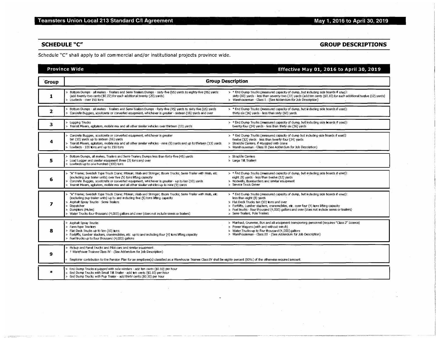## SCHEDULE "C" GROUP DESCRIPTIONS

Schedule "C" shall apply to all commercial and/or institutional projects province wide.

### Province Wide Effective May 01, 2016 to April 30, 2019

| <b>Group</b> | <b>Group Description</b>                                                                                                                                                                                                                                                                                                                                                        |                                                                                                                                                                                                                                                                                                                                                                                        |  |  |  |  |  |  |  |
|--------------|---------------------------------------------------------------------------------------------------------------------------------------------------------------------------------------------------------------------------------------------------------------------------------------------------------------------------------------------------------------------------------|----------------------------------------------------------------------------------------------------------------------------------------------------------------------------------------------------------------------------------------------------------------------------------------------------------------------------------------------------------------------------------------|--|--|--|--|--|--|--|
| 1            | Bottom Dumps - all makes - Trailers and Semi-Trailers Dumps - sixty-five (65) vards to eighty-five (85) vards:<br>(add twenty-two cents (\$0.22) for each additional twenty (20) yards).<br>Lowbeds over 150 tons                                                                                                                                                               | > * End Dump Trucks (measured capacity of dump, but including side boards if used):<br>sixty (60) yards - less than seventy-two (72) yards (add ten cents (\$0.10) for each additional byelve (12) yards)<br>> Warehouseman - Class I - (See Addendum for Job Description)                                                                                                             |  |  |  |  |  |  |  |
| 2.           | Bottom Dumps - all makes - Trailers and Semi-Trailers Dumps - forty-five (45) yards to sixty-five (65) yards<br>Concrete Buggles, scootcrete or converted equipment, whichever is greater - sixteen (16) yards and over                                                                                                                                                         | > * End Dump Trucks (measured capacity of dump, but including side boards if used).<br>thirty-six (36) vards - less than sixty (60) vards                                                                                                                                                                                                                                              |  |  |  |  |  |  |  |
| з.           | > Logging Trucks<br>> Transit Mixers, agitators, mobile mix and all other similar vehicles over thirteen (13) yards                                                                                                                                                                                                                                                             | > * End Dump Trucks (measured capacity of dump, but including side boards if used):<br>twenty-four (24) yards - less than thirty-six (36) yards                                                                                                                                                                                                                                        |  |  |  |  |  |  |  |
| 4            | Concrete Buggies, scootcrete or converted equipment, whichever is greater<br>ten (10) yards up to sixteen (16) yards<br>Transit Mixers, agitators, mobile mix and all other similar vehicles - nine (9) yards and up to thirteen (13) yards.<br>> Lowbeds - 100 tons and up to 150 tons                                                                                         | > * End Dump Trucks (measured capacity of dump but including side boards if used):<br>twelve (12) yards - less than twenty-four (24) yards<br>> Straddle Carriers, if equipped with crane<br>> Warehouseman - Class II (See Addendum for Job Description)                                                                                                                              |  |  |  |  |  |  |  |
| 5            | Bottom Dumps, all makes, Trailers and Semi-Trailers Dumps less than forty-five (45) yards<br>> Load Lugger and similar equipment three (3) tons and over<br>> Lowbeds up to one hundred (100) tons                                                                                                                                                                              | > Straddle Carriers<br>> Large Tilt Trailers                                                                                                                                                                                                                                                                                                                                           |  |  |  |  |  |  |  |
| 6            | "A" Frame; Swedish Type Truck Crane; Pitman; Hiab and Stringer; Boom Trucks; Semi-Trailer with Hiab, etc.<br>(excluding pup trailer units) over five (5) tons lifting capacity<br>Concrete Buggies, scootcrete or converted equipment, whichever is greater - up to ten (10) vards<br>Transit Mixers, agitators, mobile mix and all other similar vehicles up to nine (9) yards | > * End Dump Trucks (measured capacity of dump, but including side boards if used):<br>eight (8) yards - less than twelve (12) yards<br>> Nodwells, Bombardiers and similar equipment<br>> Service Truck Driver                                                                                                                                                                        |  |  |  |  |  |  |  |
| 7            | "A" Frame; Swedish Type Truck Crane; Pitman; Hiab and Stringer; Boom Trucks; Semi-Trailer with Hiab, etc.<br>(excluding pup trailer units) up to and including five (5) tons lifting capacity<br>Asphalt Spray Trucks - Semi-Trailers<br>Dispatcher<br>Dumptors (Mules)<br>Water Trucks four thousand: (4,000) gallons and over (does not include semis or trailers)            | > * End Dump Trucks (measured capacity of dump, but including side boards if used):<br>less than eight (8) yards<br>> Flat Deck Trucks ten (10) ions and over<br>> Forklifts, Lumber stackers, cranemobiles, etc. over four (4) tons lifting capacity<br>> Fuel trucks - four thousand (4,000) gallons and over (does not include semis or trailers)<br>> Semi-Trailers. Pole Trailers |  |  |  |  |  |  |  |
| 8            | > Asphalt Spray Trucks<br>> Farm type Tractors<br>> Flat Deck Trucks up to ten (10) tons.<br>Forklifts, Lumber stackers, cranemobiles, etc. up to and including four (4) tons lifting capacity<br>Fuel trucks up to four thousand (4,000) gallons                                                                                                                               | > Manhaul, Crummie, Bus and all equipment transporting personnel (requires "Class 2" Licence)<br>> Power Wagons (with and without winch)<br>> Water Trucks up to four thousand (4,000) gallons<br>> Warehouseman - Class III - (See Addendum for Job Description)                                                                                                                      |  |  |  |  |  |  |  |
| 9            | > Pickup and Panel Trucks and Pilot cars and similar equipment<br>> + Warehouse Trainee Class IV - (See Addendum for Job Description)<br>Employer contribution to the Pension Plan for an employee(s) classified as a Warehouse Trainee Class IV shall be eighty percent (80%) of the otherwise required amount.                                                                |                                                                                                                                                                                                                                                                                                                                                                                        |  |  |  |  |  |  |  |
| $\ast$       | > End Dump Trucks equipped with side winders - add ten cents (\$0.10) per hour<br>> End Dump Trucks with Small Tilt Trailer - add ten cents (\$0.10) per hour<br>End Dump Trucks with Pup Trailer - add thirty cents (\$0.30) per hour                                                                                                                                          |                                                                                                                                                                                                                                                                                                                                                                                        |  |  |  |  |  |  |  |